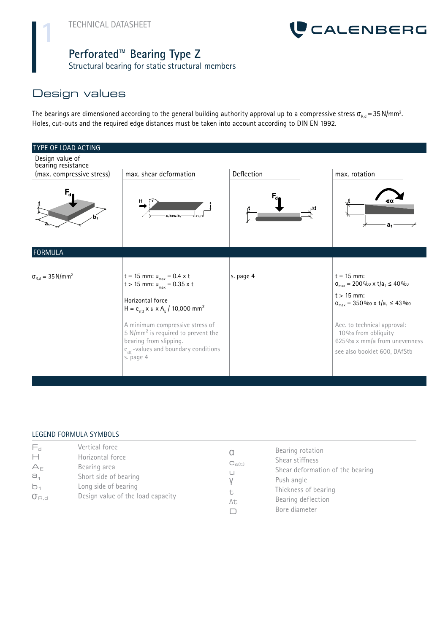

#### **Perforated™ Bearing Type Z**

Structural bearing for static structural members

# Design values

The bearings are dimensioned according to the general building authority approval up to a compressive stress  $\sigma_{_{\rm R,d}}$ =35N/mm $^2$ . Holes, cut-outs and the required edge distances must be taken into account according to DIN EN 1992.

| <b>TYPE OF LOAD ACTING</b>                                         |                                                                                                                                                                                                                                                                                                                                     |                |                                                                                                                                                                                                                                                                               |
|--------------------------------------------------------------------|-------------------------------------------------------------------------------------------------------------------------------------------------------------------------------------------------------------------------------------------------------------------------------------------------------------------------------------|----------------|-------------------------------------------------------------------------------------------------------------------------------------------------------------------------------------------------------------------------------------------------------------------------------|
| Design value of<br>bearing resistance<br>(max. compressive stress) | max. shear deformation                                                                                                                                                                                                                                                                                                              | Deflection     | max. rotation                                                                                                                                                                                                                                                                 |
| F,                                                                 | H<br>a <sub>r</sub> bzw.b                                                                                                                                                                                                                                                                                                           | $F_{d}$<br>ı∆t | đα<br>a <sub>1</sub>                                                                                                                                                                                                                                                          |
| FORMULA                                                            |                                                                                                                                                                                                                                                                                                                                     |                |                                                                                                                                                                                                                                                                               |
| $\sigma_{R,d} = 35$ N/mm <sup>2</sup>                              | $t = 15$ mm: $u_{max} = 0.4$ x t<br>t > 15 mm: $u_{max} = 0.35 \times t$<br>Horizontal force<br>$H = c_{s(t)} \times u \times A_{E} / 10,000$ mm <sup>2</sup><br>A minimum compressive stress of<br>5 $N/mm2$ is required to prevent the<br>bearing from slipping.<br>$c_{\text{eff}}$ -values and boundary conditions<br>s. page 4 | s. page 4      | $t = 15$ mm:<br>$\alpha_{\text{max}} = 200\%$ × t/a <sub>1</sub> ≤ 40%<br>$t > 15$ mm:<br>$\alpha_{\text{max}} = 350\%$ $\alpha \times t/a_1 \leq 43\%$<br>Acc. to technical approval:<br>10 % from obliquity<br>625 % x mm/a from unevenness<br>see also booklet 600, DAfStb |

#### LEGEND FORMULA SYMBOLS

| $F_{\rm d}$<br>$\vdash$<br>$A_{E}$<br>$a_1$<br>b <sub>1</sub><br>$\sigma$ <sub>B.d</sub> | Vertical force<br>Horizontal force<br>Bearing area<br>Short side of bearing<br>Long side of bearing<br>Design value of the load capacity | $C_{s(t)}$<br>t<br>Δt | Bearing rotation<br>Shear stiffness<br>Shear deformation of the bearing<br>Push angle<br>Thickness of bearing<br>Bearing deflection<br>Bore diameter |
|------------------------------------------------------------------------------------------|------------------------------------------------------------------------------------------------------------------------------------------|-----------------------|------------------------------------------------------------------------------------------------------------------------------------------------------|
|------------------------------------------------------------------------------------------|------------------------------------------------------------------------------------------------------------------------------------------|-----------------------|------------------------------------------------------------------------------------------------------------------------------------------------------|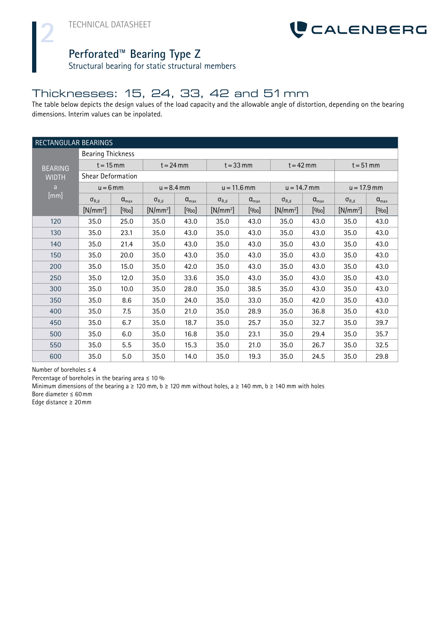**2**



#### **Perforated™ Bearing Type Z**

Structural bearing for static structural members

## Thicknesses: 15, 24, 33, 42 and 51mm

The table below depicts the design values of the load capacity and the allowable angle of distortion, depending on the bearing dimensions. Interim values can be inpolated.

| RECTANGULAR BEARINGS          |                |                   |                |                  |                |                  |                |                  |                |                       |
|-------------------------------|----------------|-------------------|----------------|------------------|----------------|------------------|----------------|------------------|----------------|-----------------------|
| <b>Bearing Thickness</b>      |                |                   |                |                  |                |                  |                |                  |                |                       |
| $t = 15$ mm<br><b>BEARING</b> |                | $t = 24$ mm       |                | $t = 33$ mm      |                | $t = 42$ mm      |                | $t = 51$ mm      |                |                       |
| <b>WIDTH</b>                  |                | Shear Deformation |                |                  |                |                  |                |                  |                |                       |
| a                             | $u = 6$ mm     |                   | $u = 8.4$ mm   |                  | $u = 11.6$ mm  |                  | $u = 14.7$ mm  |                  | $u = 17.9$ mm  |                       |
| [mm]                          | $\sigma_{R,d}$ | $a_{\text{max}}$  | $\sigma_{R,d}$ | $a_{\text{max}}$ | $\sigma_{R,d}$ | $a_{\text{max}}$ | $\sigma_{R,d}$ | $a_{\text{max}}$ | $\sigma_{R,d}$ | $\alpha_{\text{max}}$ |
|                               | $[N/mm^2]$     | [%o]              | $[N/mm^2]$     | [%o]             | $[N/mm^2]$     | [0/00]           | $[N/mm^2]$     | [%o]             | $[N/mm^2]$     | [%o]                  |
| 120                           | 35.0           | 25.0              | 35.0           | 43.0             | 35.0           | 43.0             | 35.0           | 43.0             | 35.0           | 43.0                  |
| 130                           | 35.0           | 23.1              | 35.0           | 43.0             | 35.0           | 43.0             | 35.0           | 43.0             | 35.0           | 43.0                  |
| 140                           | 35.0           | 21.4              | 35.0           | 43.0             | 35.0           | 43.0             | 35.0           | 43.0             | 35.0           | 43.0                  |
| 150                           | 35.0           | 20.0              | 35.0           | 43.0             | 35.0           | 43.0             | 35.0           | 43.0             | 35.0           | 43.0                  |
| 200                           | 35.0           | 15.0              | 35.0           | 42.0             | 35.0           | 43.0             | 35.0           | 43.0             | 35.0           | 43.0                  |
| 250                           | 35.0           | 12.0              | 35.0           | 33.6             | 35.0           | 43.0             | 35.0           | 43.0             | 35.0           | 43.0                  |
| 300                           | 35.0           | 10.0              | 35.0           | 28.0             | 35.0           | 38.5             | 35.0           | 43.0             | 35.0           | 43.0                  |
| 350                           | 35.0           | 8.6               | 35.0           | 24.0             | 35.0           | 33.0             | 35.0           | 42.0             | 35.0           | 43.0                  |
| 400                           | 35.0           | 7.5               | 35.0           | 21.0             | 35.0           | 28.9             | 35.0           | 36.8             | 35.0           | 43.0                  |
| 450                           | 35.0           | 6.7               | 35.0           | 18.7             | 35.0           | 25.7             | 35.0           | 32.7             | 35.0           | 39.7                  |
| 500                           | 35.0           | 6.0               | 35.0           | 16.8             | 35.0           | 23.1             | 35.0           | 29.4             | 35.0           | 35.7                  |
| 550                           | 35.0           | 5.5               | 35.0           | 15.3             | 35.0           | 21.0             | 35.0           | 26.7             | 35.0           | 32.5                  |
| 600                           | 35.0           | 5.0               | 35.0           | 14.0             | 35.0           | 19.3             | 35.0           | 24.5             | 35.0           | 29.8                  |

Number of boreholes  $\leq 4$ 

Percentage of boreholes in the bearing area  $\leq 10\%$ 

Minimum dimensions of the bearing a  $\geq$  120 mm, b  $\geq$  120 mm without holes, a  $\geq$  140 mm, b  $\geq$  140 mm with holes

Bore diameter ≤ 60mm

Edge distance ≥ 20mm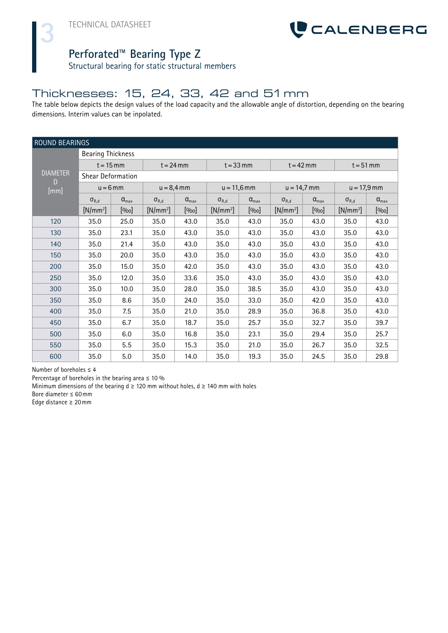**3**



#### **Perforated™ Bearing Type Z**

Structural bearing for static structural members

#### Thicknesses: 15, 24, 33, 42 and 51mm

The table below depicts the design values of the load capacity and the allowable angle of distortion, depending on the bearing dimensions. Interim values can be inpolated.

| ROUND BEARINGS           |                   |                       |                |                       |                |                       |                |                  |                |                       |
|--------------------------|-------------------|-----------------------|----------------|-----------------------|----------------|-----------------------|----------------|------------------|----------------|-----------------------|
| <b>Bearing Thickness</b> |                   |                       |                |                       |                |                       |                |                  |                |                       |
|                          | $t = 15$ mm       |                       | $t = 24$ mm    |                       | $t = 33$ mm    |                       | $t = 42$ mm    |                  | $t = 51$ mm    |                       |
| <b>DIAMETER</b><br>D     | Shear Deformation |                       |                |                       |                |                       |                |                  |                |                       |
| [mm]                     | $u = 6$ mm        |                       | $u = 8,4$ mm   |                       | $u = 11,6$ mm  |                       | $u = 14,7$ mm  |                  | $u = 17,9$ mm  |                       |
|                          | $\sigma_{R,d}$    | $\alpha_{\text{max}}$ | $\sigma_{R,d}$ | $\alpha_{\text{max}}$ | $\sigma_{R,d}$ | $\alpha_{\text{max}}$ | $\sigma_{R,d}$ | $a_{\text{max}}$ | $\sigma_{R,d}$ | $\alpha_{\text{max}}$ |
|                          | $[N/mm^2]$        | [%o]                  | $[N/mm^2]$     | [%o]                  | $[N/mm^2]$     | [%o]                  | $[N/mm^2]$     | [%o]             | $[N/mm^2]$     | [%o]                  |
| 120                      | 35.0              | 25.0                  | 35.0           | 43.0                  | 35.0           | 43.0                  | 35.0           | 43.0             | 35.0           | 43.0                  |
| 130                      | 35.0              | 23.1                  | 35.0           | 43.0                  | 35.0           | 43.0                  | 35.0           | 43.0             | 35.0           | 43.0                  |
| 140                      | 35.0              | 21.4                  | 35.0           | 43.0                  | 35.0           | 43.0                  | 35.0           | 43.0             | 35.0           | 43.0                  |
| 150                      | 35.0              | 20.0                  | 35.0           | 43.0                  | 35.0           | 43.0                  | 35.0           | 43.0             | 35.0           | 43.0                  |
| 200                      | 35.0              | 15.0                  | 35.0           | 42.0                  | 35.0           | 43.0                  | 35.0           | 43.0             | 35.0           | 43.0                  |
| 250                      | 35.0              | 12.0                  | 35.0           | 33.6                  | 35.0           | 43.0                  | 35.0           | 43.0             | 35.0           | 43.0                  |
| 300                      | 35.0              | 10.0                  | 35.0           | 28.0                  | 35.0           | 38.5                  | 35.0           | 43.0             | 35.0           | 43.0                  |
| 350                      | 35.0              | 8.6                   | 35.0           | 24.0                  | 35.0           | 33.0                  | 35.0           | 42.0             | 35.0           | 43.0                  |
| 400                      | 35.0              | 7.5                   | 35.0           | 21.0                  | 35.0           | 28.9                  | 35.0           | 36.8             | 35.0           | 43.0                  |
| 450                      | 35.0              | 6.7                   | 35.0           | 18.7                  | 35.0           | 25.7                  | 35.0           | 32.7             | 35.0           | 39.7                  |
| 500                      | 35.0              | 6.0                   | 35.0           | 16.8                  | 35.0           | 23.1                  | 35.0           | 29.4             | 35.0           | 25.7                  |
| 550                      | 35.0              | 5.5                   | 35.0           | 15.3                  | 35.0           | 21.0                  | 35.0           | 26.7             | 35.0           | 32.5                  |
| 600                      | 35.0              | 5.0                   | 35.0           | 14.0                  | 35.0           | 19.3                  | 35.0           | 24.5             | 35.0           | 29.8                  |

Number of boreholes  $\leq 4$ 

Percentage of boreholes in the bearing area  $\leq 10\%$ 

Minimum dimensions of the bearing  $d \ge 120$  mm without holes,  $d \ge 140$  mm with holes

Bore diameter ≤ 60mm

Edge distance ≥ 20mm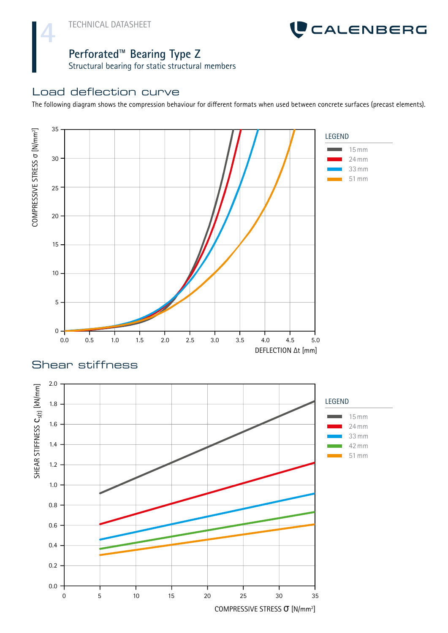**4**



## **Perforated™ Bearing Type Z**

Structural bearing for static structural members

#### Load deflection curve

The following diagram shows the compression behaviour for different formats when used between concrete surfaces (precast elements).